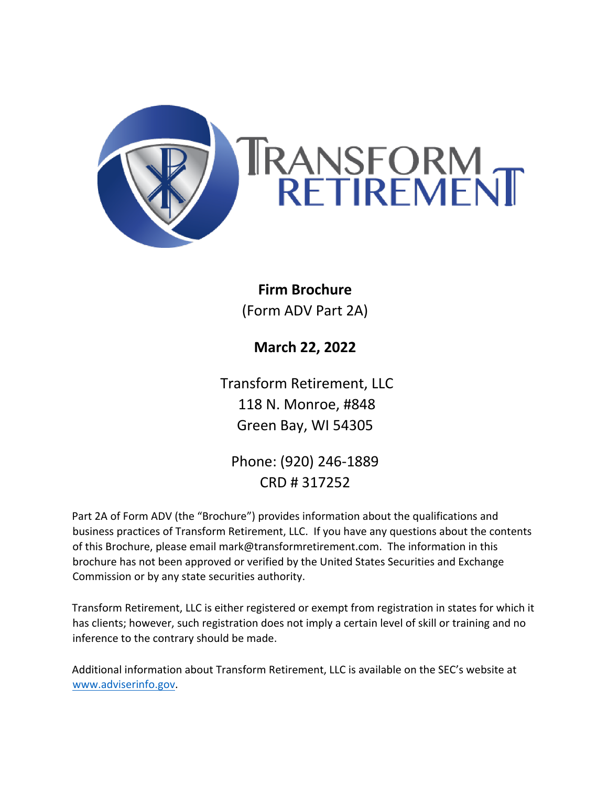

# **Firm Brochure**  (Form ADV Part 2A)

**March 22, 2022**

Transform Retirement, LLC 118 N. Monroe, #848 Green Bay, WI 54305

Phone: (920) 246-1889 CRD # 317252

Part 2A of Form ADV (the "Brochure") provides information about the qualifications and business practices of Transform Retirement, LLC. If you have any questions about the contents of this Brochure, please email mark@transformretirement.com. The information in this brochure has not been approved or verified by the United States Securities and Exchange Commission or by any state securities authority.

Transform Retirement, LLC is either registered or exempt from registration in states for which it has clients; however, such registration does not imply a certain level of skill or training and no inference to the contrary should be made.

Additional information about Transform Retirement, LLC is available on the SEC's website at www.adviserinfo.gov.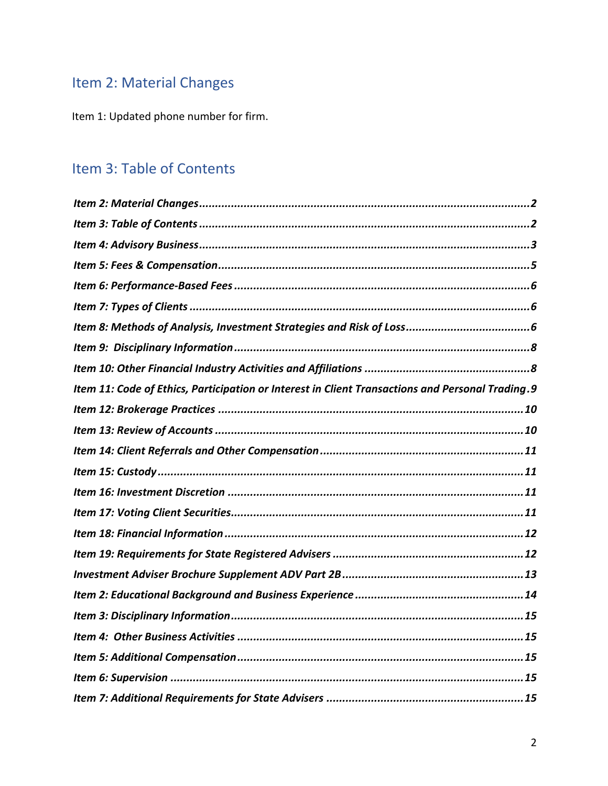# Item 2: Material Changes

Item 1: Updated phone number for firm.

# Item 3: Table of Contents

| Item 11: Code of Ethics, Participation or Interest in Client Transactions and Personal Trading.9 |
|--------------------------------------------------------------------------------------------------|
|                                                                                                  |
|                                                                                                  |
|                                                                                                  |
|                                                                                                  |
|                                                                                                  |
|                                                                                                  |
|                                                                                                  |
|                                                                                                  |
|                                                                                                  |
|                                                                                                  |
|                                                                                                  |
|                                                                                                  |
|                                                                                                  |
|                                                                                                  |
|                                                                                                  |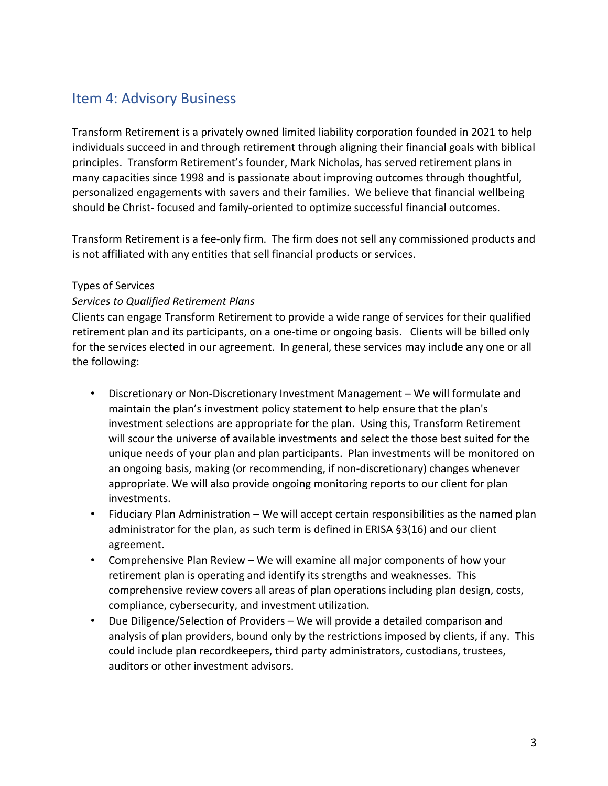### Item 4: Advisory Business

Transform Retirement is a privately owned limited liability corporation founded in 2021 to help individuals succeed in and through retirement through aligning their financial goals with biblical principles. Transform Retirement's founder, Mark Nicholas, has served retirement plans in many capacities since 1998 and is passionate about improving outcomes through thoughtful, personalized engagements with savers and their families. We believe that financial wellbeing should be Christ- focused and family-oriented to optimize successful financial outcomes.

Transform Retirement is a fee-only firm. The firm does not sell any commissioned products and is not affiliated with any entities that sell financial products or services.

#### Types of Services

#### *Services to Qualified Retirement Plans*

Clients can engage Transform Retirement to provide a wide range of services for their qualified retirement plan and its participants, on a one-time or ongoing basis. Clients will be billed only for the services elected in our agreement. In general, these services may include any one or all the following:

- Discretionary or Non-Discretionary Investment Management We will formulate and maintain the plan's investment policy statement to help ensure that the plan's investment selections are appropriate for the plan. Using this, Transform Retirement will scour the universe of available investments and select the those best suited for the unique needs of your plan and plan participants. Plan investments will be monitored on an ongoing basis, making (or recommending, if non-discretionary) changes whenever appropriate. We will also provide ongoing monitoring reports to our client for plan investments.
- Fiduciary Plan Administration We will accept certain responsibilities as the named plan administrator for the plan, as such term is defined in ERISA §3(16) and our client agreement.
- Comprehensive Plan Review We will examine all major components of how your retirement plan is operating and identify its strengths and weaknesses. This comprehensive review covers all areas of plan operations including plan design, costs, compliance, cybersecurity, and investment utilization.
- Due Diligence/Selection of Providers We will provide a detailed comparison and analysis of plan providers, bound only by the restrictions imposed by clients, if any. This could include plan recordkeepers, third party administrators, custodians, trustees, auditors or other investment advisors.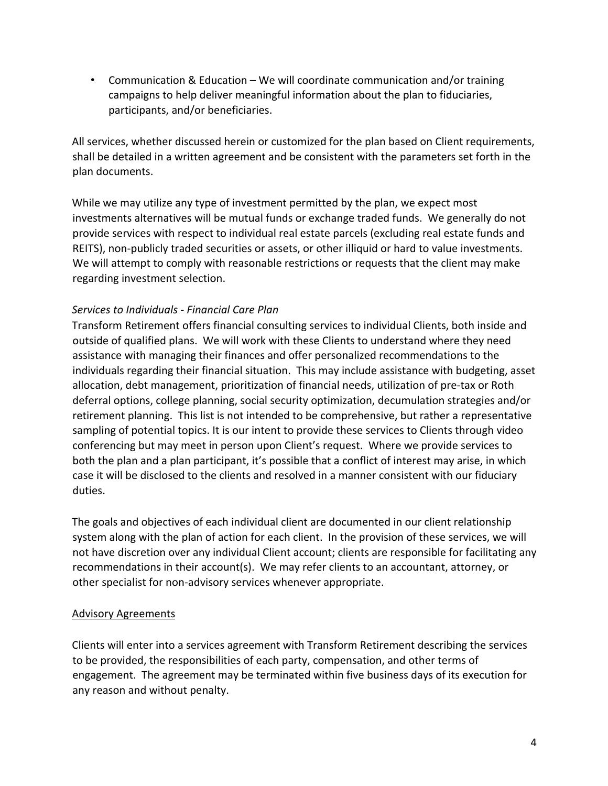• Communication & Education – We will coordinate communication and/or training campaigns to help deliver meaningful information about the plan to fiduciaries, participants, and/or beneficiaries.

All services, whether discussed herein or customized for the plan based on Client requirements, shall be detailed in a written agreement and be consistent with the parameters set forth in the plan documents.

While we may utilize any type of investment permitted by the plan, we expect most investments alternatives will be mutual funds or exchange traded funds. We generally do not provide services with respect to individual real estate parcels (excluding real estate funds and REITS), non-publicly traded securities or assets, or other illiquid or hard to value investments. We will attempt to comply with reasonable restrictions or requests that the client may make regarding investment selection.

#### *Services to Individuals - Financial Care Plan*

Transform Retirement offers financial consulting services to individual Clients, both inside and outside of qualified plans. We will work with these Clients to understand where they need assistance with managing their finances and offer personalized recommendations to the individuals regarding their financial situation. This may include assistance with budgeting, asset allocation, debt management, prioritization of financial needs, utilization of pre-tax or Roth deferral options, college planning, social security optimization, decumulation strategies and/or retirement planning. This list is not intended to be comprehensive, but rather a representative sampling of potential topics. It is our intent to provide these services to Clients through video conferencing but may meet in person upon Client's request. Where we provide services to both the plan and a plan participant, it's possible that a conflict of interest may arise, in which case it will be disclosed to the clients and resolved in a manner consistent with our fiduciary duties.

The goals and objectives of each individual client are documented in our client relationship system along with the plan of action for each client. In the provision of these services, we will not have discretion over any individual Client account; clients are responsible for facilitating any recommendations in their account(s). We may refer clients to an accountant, attorney, or other specialist for non-advisory services whenever appropriate.

#### Advisory Agreements

Clients will enter into a services agreement with Transform Retirement describing the services to be provided, the responsibilities of each party, compensation, and other terms of engagement. The agreement may be terminated within five business days of its execution for any reason and without penalty.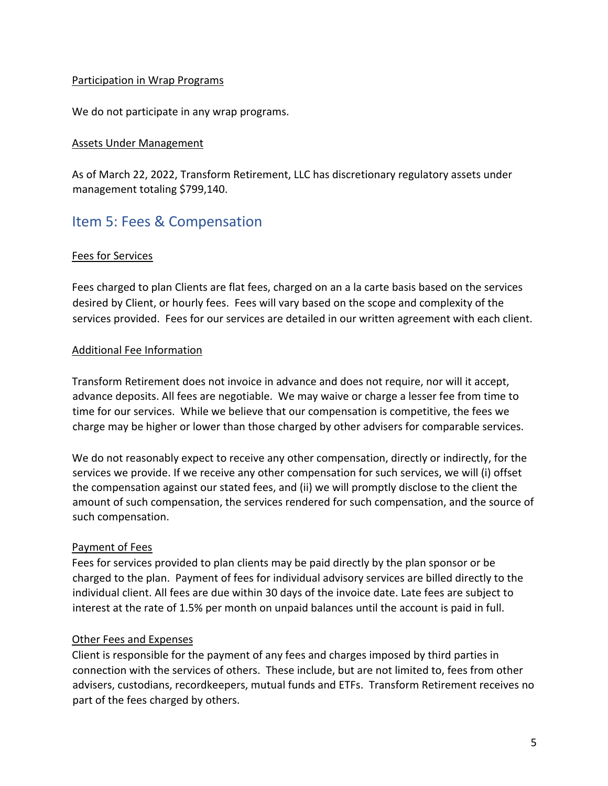#### Participation in Wrap Programs

We do not participate in any wrap programs.

#### Assets Under Management

As of March 22, 2022, Transform Retirement, LLC has discretionary regulatory assets under management totaling \$799,140.

### Item 5: Fees & Compensation

#### Fees for Services

Fees charged to plan Clients are flat fees, charged on an a la carte basis based on the services desired by Client, or hourly fees. Fees will vary based on the scope and complexity of the services provided. Fees for our services are detailed in our written agreement with each client.

#### Additional Fee Information

Transform Retirement does not invoice in advance and does not require, nor will it accept, advance deposits. All fees are negotiable. We may waive or charge a lesser fee from time to time for our services. While we believe that our compensation is competitive, the fees we charge may be higher or lower than those charged by other advisers for comparable services.

We do not reasonably expect to receive any other compensation, directly or indirectly, for the services we provide. If we receive any other compensation for such services, we will (i) offset the compensation against our stated fees, and (ii) we will promptly disclose to the client the amount of such compensation, the services rendered for such compensation, and the source of such compensation.

#### Payment of Fees

Fees for services provided to plan clients may be paid directly by the plan sponsor or be charged to the plan. Payment of fees for individual advisory services are billed directly to the individual client. All fees are due within 30 days of the invoice date. Late fees are subject to interest at the rate of 1.5% per month on unpaid balances until the account is paid in full.

#### Other Fees and Expenses

Client is responsible for the payment of any fees and charges imposed by third parties in connection with the services of others. These include, but are not limited to, fees from other advisers, custodians, recordkeepers, mutual funds and ETFs. Transform Retirement receives no part of the fees charged by others.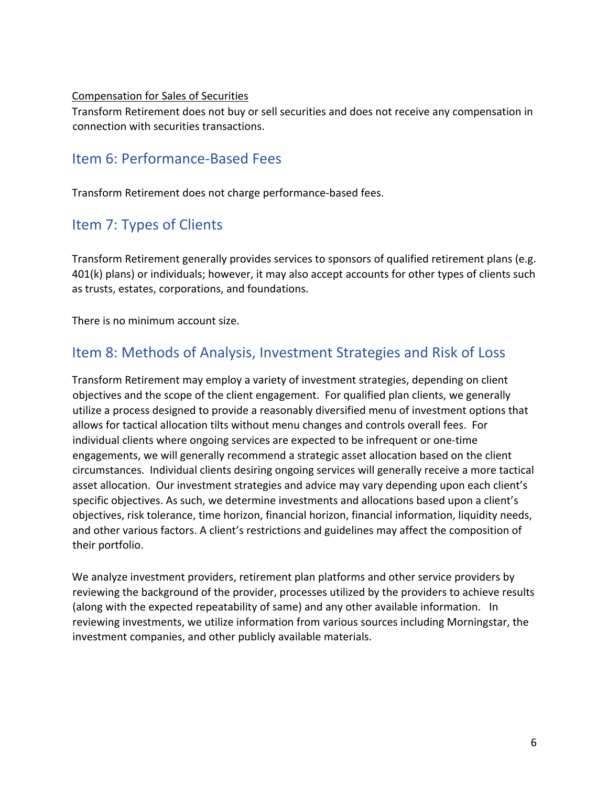#### Compensation for Sales of Securities

Transform Retirement does not buy or sell securities and does not receive any compensation in connection with securities transactions.

### Item 6: Performance-Based Fees

Transform Retirement does not charge performance-based fees.

## Item 7: Types of Clients

Transform Retirement generally provides services to sponsors of qualified retirement plans (e.g. 401(k) plans) or individuals; however, it may also accept accounts for other types of clients such as trusts, estates, corporations, and foundations.

There is no minimum account size.

### Item 8: Methods of Analysis, Investment Strategies and Risk of Loss

Transform Retirement may employ a variety of investment strategies, depending on client objectives and the scope of the client engagement. For qualified plan clients, we generally utilize a process designed to provide a reasonably diversified menu of investment options that allows for tactical allocation tilts without menu changes and controls overall fees. For individual clients where ongoing services are expected to be infrequent or one-time engagements, we will generally recommend a strategic asset allocation based on the client circumstances. Individual clients desiring ongoing services will generally receive a more tactical asset allocation. Our investment strategies and advice may vary depending upon each client's specific objectives. As such, we determine investments and allocations based upon a client's objectives, risk tolerance, time horizon, financial horizon, financial information, liquidity needs, and other various factors. A client's restrictions and guidelines may affect the composition of their portfolio.

We analyze investment providers, retirement plan platforms and other service providers by reviewing the background of the provider, processes utilized by the providers to achieve results (along with the expected repeatability of same) and any other available information. In reviewing investments, we utilize information from various sources including Morningstar, the investment companies, and other publicly available materials.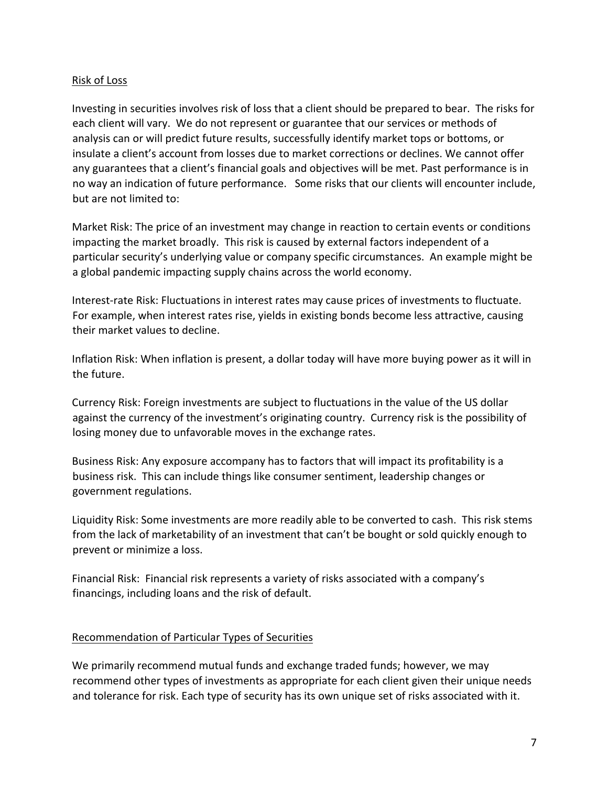#### Risk of Loss

Investing in securities involves risk of loss that a client should be prepared to bear. The risks for each client will vary. We do not represent or guarantee that our services or methods of analysis can or will predict future results, successfully identify market tops or bottoms, or insulate a client's account from losses due to market corrections or declines. We cannot offer any guarantees that a client's financial goals and objectives will be met. Past performance is in no way an indication of future performance. Some risks that our clients will encounter include, but are not limited to:

Market Risk: The price of an investment may change in reaction to certain events or conditions impacting the market broadly. This risk is caused by external factors independent of a particular security's underlying value or company specific circumstances. An example might be a global pandemic impacting supply chains across the world economy.

Interest-rate Risk: Fluctuations in interest rates may cause prices of investments to fluctuate. For example, when interest rates rise, yields in existing bonds become less attractive, causing their market values to decline.

Inflation Risk: When inflation is present, a dollar today will have more buying power as it will in the future.

Currency Risk: Foreign investments are subject to fluctuations in the value of the US dollar against the currency of the investment's originating country. Currency risk is the possibility of losing money due to unfavorable moves in the exchange rates.

Business Risk: Any exposure accompany has to factors that will impact its profitability is a business risk. This can include things like consumer sentiment, leadership changes or government regulations.

Liquidity Risk: Some investments are more readily able to be converted to cash. This risk stems from the lack of marketability of an investment that can't be bought or sold quickly enough to prevent or minimize a loss.

Financial Risk: Financial risk represents a variety of risks associated with a company's financings, including loans and the risk of default.

#### Recommendation of Particular Types of Securities

We primarily recommend mutual funds and exchange traded funds; however, we may recommend other types of investments as appropriate for each client given their unique needs and tolerance for risk. Each type of security has its own unique set of risks associated with it.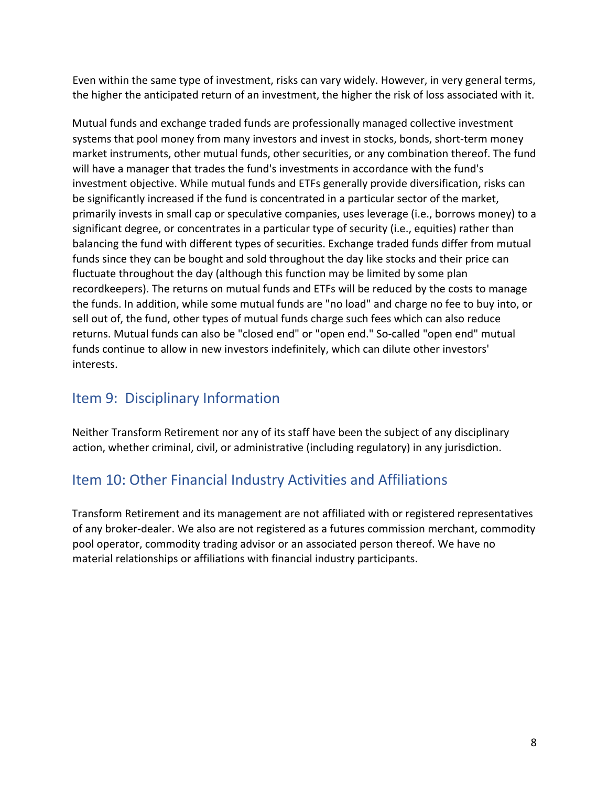Even within the same type of investment, risks can vary widely. However, in very general terms, the higher the anticipated return of an investment, the higher the risk of loss associated with it.

Mutual funds and exchange traded funds are professionally managed collective investment systems that pool money from many investors and invest in stocks, bonds, short-term money market instruments, other mutual funds, other securities, or any combination thereof. The fund will have a manager that trades the fund's investments in accordance with the fund's investment objective. While mutual funds and ETFs generally provide diversification, risks can be significantly increased if the fund is concentrated in a particular sector of the market, primarily invests in small cap or speculative companies, uses leverage (i.e., borrows money) to a significant degree, or concentrates in a particular type of security (i.e., equities) rather than balancing the fund with different types of securities. Exchange traded funds differ from mutual funds since they can be bought and sold throughout the day like stocks and their price can fluctuate throughout the day (although this function may be limited by some plan recordkeepers). The returns on mutual funds and ETFs will be reduced by the costs to manage the funds. In addition, while some mutual funds are "no load" and charge no fee to buy into, or sell out of, the fund, other types of mutual funds charge such fees which can also reduce returns. Mutual funds can also be "closed end" or "open end." So-called "open end" mutual funds continue to allow in new investors indefinitely, which can dilute other investors' interests.

### Item 9: Disciplinary Information

Neither Transform Retirement nor any of its staff have been the subject of any disciplinary action, whether criminal, civil, or administrative (including regulatory) in any jurisdiction.

## Item 10: Other Financial Industry Activities and Affiliations

Transform Retirement and its management are not affiliated with or registered representatives of any broker-dealer. We also are not registered as a futures commission merchant, commodity pool operator, commodity trading advisor or an associated person thereof. We have no material relationships or affiliations with financial industry participants.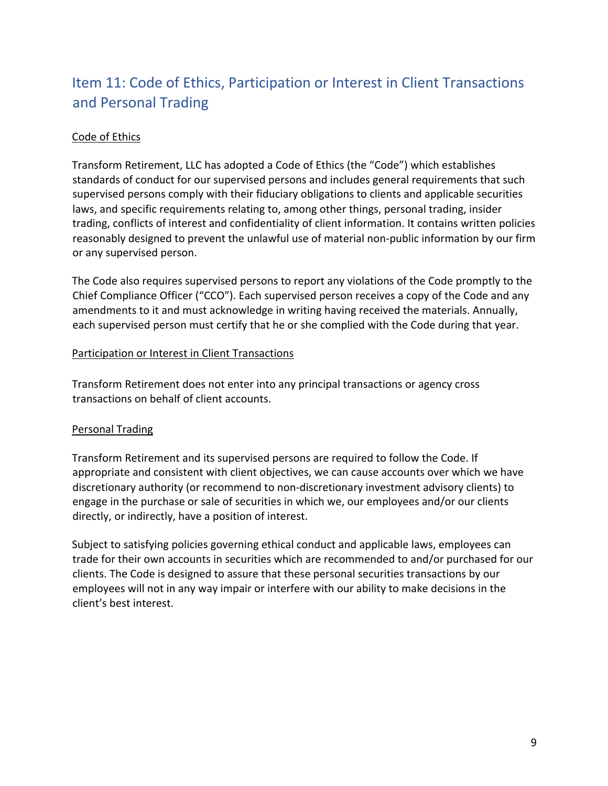# Item 11: Code of Ethics, Participation or Interest in Client Transactions and Personal Trading

#### Code of Ethics

Transform Retirement, LLC has adopted a Code of Ethics (the "Code") which establishes standards of conduct for our supervised persons and includes general requirements that such supervised persons comply with their fiduciary obligations to clients and applicable securities laws, and specific requirements relating to, among other things, personal trading, insider trading, conflicts of interest and confidentiality of client information. It contains written policies reasonably designed to prevent the unlawful use of material non-public information by our firm or any supervised person.

The Code also requires supervised persons to report any violations of the Code promptly to the Chief Compliance Officer ("CCO"). Each supervised person receives a copy of the Code and any amendments to it and must acknowledge in writing having received the materials. Annually, each supervised person must certify that he or she complied with the Code during that year.

#### Participation or Interest in Client Transactions

Transform Retirement does not enter into any principal transactions or agency cross transactions on behalf of client accounts.

#### Personal Trading

Transform Retirement and its supervised persons are required to follow the Code. If appropriate and consistent with client objectives, we can cause accounts over which we have discretionary authority (or recommend to non-discretionary investment advisory clients) to engage in the purchase or sale of securities in which we, our employees and/or our clients directly, or indirectly, have a position of interest.

Subject to satisfying policies governing ethical conduct and applicable laws, employees can trade for their own accounts in securities which are recommended to and/or purchased for our clients. The Code is designed to assure that these personal securities transactions by our employees will not in any way impair or interfere with our ability to make decisions in the client's best interest.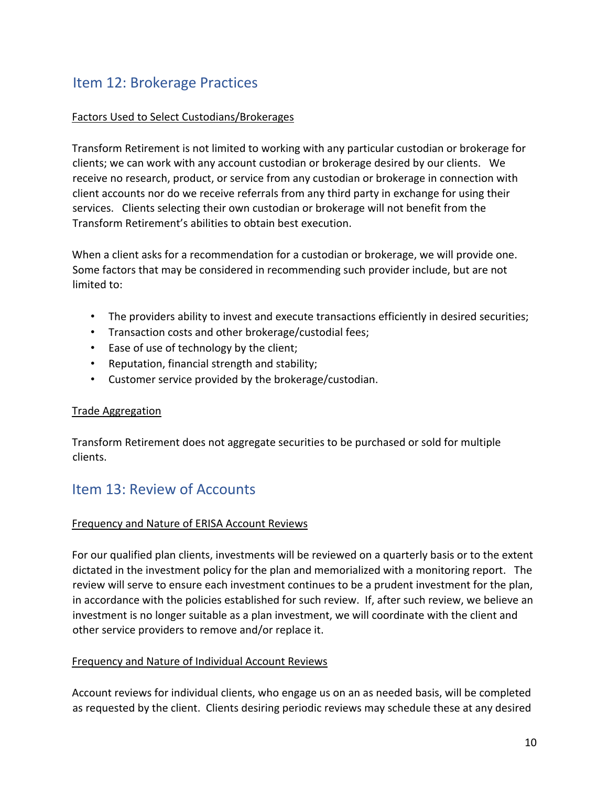## Item 12: Brokerage Practices

#### Factors Used to Select Custodians/Brokerages

Transform Retirement is not limited to working with any particular custodian or brokerage for clients; we can work with any account custodian or brokerage desired by our clients. We receive no research, product, or service from any custodian or brokerage in connection with client accounts nor do we receive referrals from any third party in exchange for using their services. Clients selecting their own custodian or brokerage will not benefit from the Transform Retirement's abilities to obtain best execution.

When a client asks for a recommendation for a custodian or brokerage, we will provide one. Some factors that may be considered in recommending such provider include, but are not limited to:

- The providers ability to invest and execute transactions efficiently in desired securities;
- Transaction costs and other brokerage/custodial fees;
- Ease of use of technology by the client;
- Reputation, financial strength and stability;
- Customer service provided by the brokerage/custodian.

#### Trade Aggregation

Transform Retirement does not aggregate securities to be purchased or sold for multiple clients.

### Item 13: Review of Accounts

#### Frequency and Nature of ERISA Account Reviews

For our qualified plan clients, investments will be reviewed on a quarterly basis or to the extent dictated in the investment policy for the plan and memorialized with a monitoring report. The review will serve to ensure each investment continues to be a prudent investment for the plan, in accordance with the policies established for such review. If, after such review, we believe an investment is no longer suitable as a plan investment, we will coordinate with the client and other service providers to remove and/or replace it.

#### Frequency and Nature of Individual Account Reviews

Account reviews for individual clients, who engage us on an as needed basis, will be completed as requested by the client. Clients desiring periodic reviews may schedule these at any desired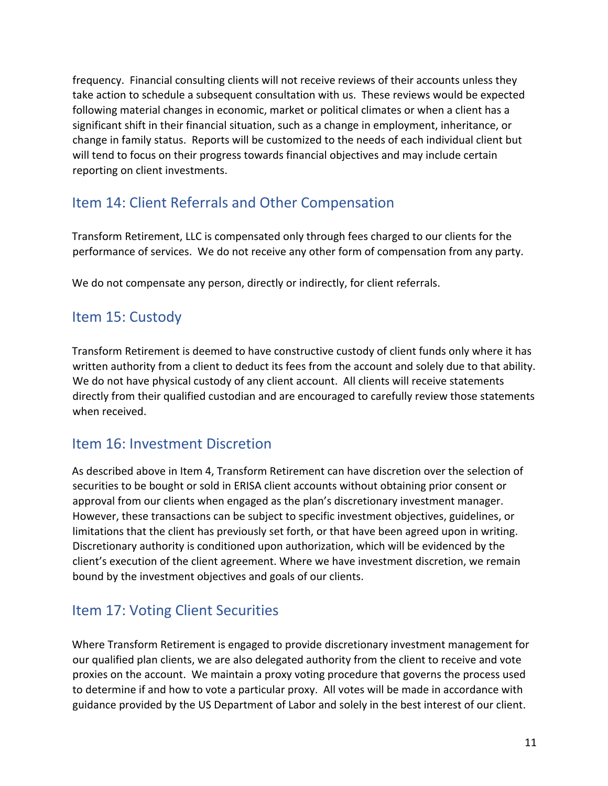frequency. Financial consulting clients will not receive reviews of their accounts unless they take action to schedule a subsequent consultation with us. These reviews would be expected following material changes in economic, market or political climates or when a client has a significant shift in their financial situation, such as a change in employment, inheritance, or change in family status. Reports will be customized to the needs of each individual client but will tend to focus on their progress towards financial objectives and may include certain reporting on client investments.

## Item 14: Client Referrals and Other Compensation

Transform Retirement, LLC is compensated only through fees charged to our clients for the performance of services. We do not receive any other form of compensation from any party.

We do not compensate any person, directly or indirectly, for client referrals.

### Item 15: Custody

Transform Retirement is deemed to have constructive custody of client funds only where it has written authority from a client to deduct its fees from the account and solely due to that ability. We do not have physical custody of any client account. All clients will receive statements directly from their qualified custodian and are encouraged to carefully review those statements when received.

### Item 16: Investment Discretion

As described above in Item 4, Transform Retirement can have discretion over the selection of securities to be bought or sold in ERISA client accounts without obtaining prior consent or approval from our clients when engaged as the plan's discretionary investment manager. However, these transactions can be subject to specific investment objectives, guidelines, or limitations that the client has previously set forth, or that have been agreed upon in writing. Discretionary authority is conditioned upon authorization, which will be evidenced by the client's execution of the client agreement. Where we have investment discretion, we remain bound by the investment objectives and goals of our clients.

## Item 17: Voting Client Securities

Where Transform Retirement is engaged to provide discretionary investment management for our qualified plan clients, we are also delegated authority from the client to receive and vote proxies on the account. We maintain a proxy voting procedure that governs the process used to determine if and how to vote a particular proxy. All votes will be made in accordance with guidance provided by the US Department of Labor and solely in the best interest of our client.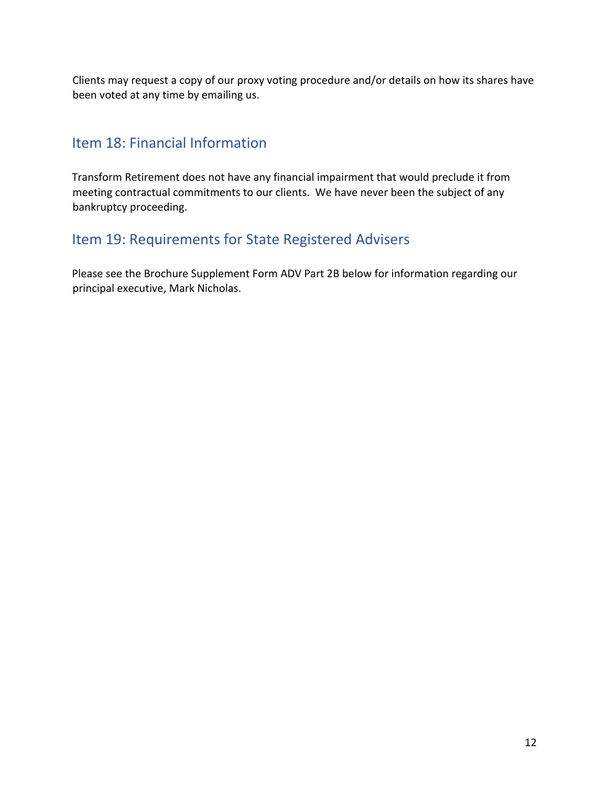Clients may request a copy of our proxy voting procedure and/or details on how its shares have been voted at any time by emailing us.

## Item 18: Financial Information

Transform Retirement does not have any financial impairment that would preclude it from meeting contractual commitments to our clients. We have never been the subject of any bankruptcy proceeding.

## Item 19: Requirements for State Registered Advisers

Please see the Brochure Supplement Form ADV Part 2B below for information regarding our principal executive, Mark Nicholas.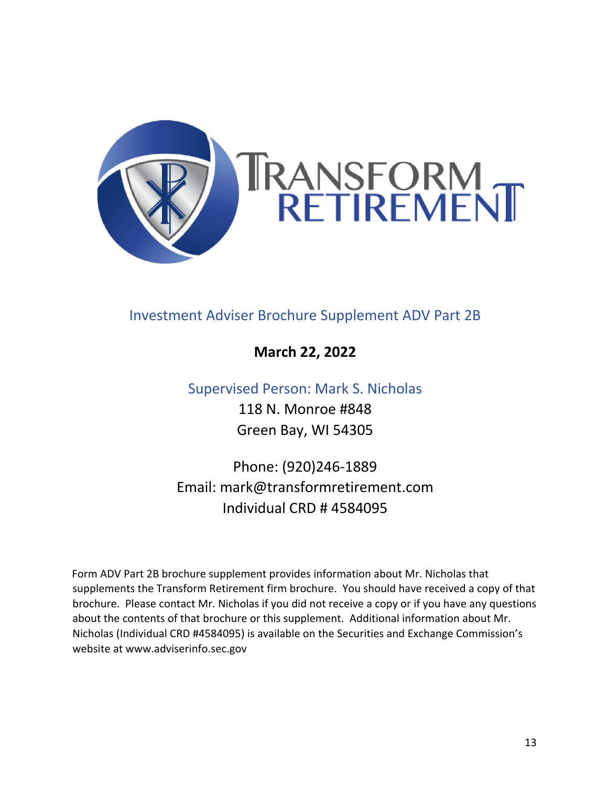

## Investment Adviser Brochure Supplement ADV Part 2B

### **March 22, 2022**

### Supervised Person: Mark S. Nicholas

118 N. Monroe #848 Green Bay, WI 54305

Phone: (920)246-1889 Email: mark@transformretirement.com Individual CRD # 4584095

Form ADV Part 2B brochure supplement provides information about Mr. Nicholas that supplements the Transform Retirement firm brochure. You should have received a copy of that brochure. Please contact Mr. Nicholas if you did not receive a copy or if you have any questions about the contents of that brochure or this supplement. Additional information about Mr. Nicholas (Individual CRD #4584095) is available on the Securities and Exchange Commission's website at www.adviserinfo.sec.gov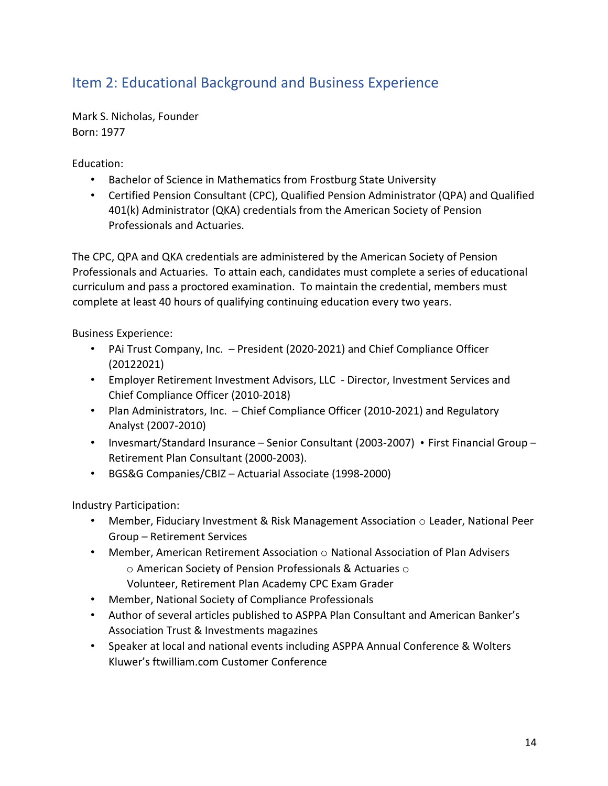## Item 2: Educational Background and Business Experience

Mark S. Nicholas, Founder Born: 1977

Education:

- Bachelor of Science in Mathematics from Frostburg State University
- Certified Pension Consultant (CPC), Qualified Pension Administrator (QPA) and Qualified 401(k) Administrator (QKA) credentials from the American Society of Pension Professionals and Actuaries.

The CPC, QPA and QKA credentials are administered by the American Society of Pension Professionals and Actuaries. To attain each, candidates must complete a series of educational curriculum and pass a proctored examination. To maintain the credential, members must complete at least 40 hours of qualifying continuing education every two years.

Business Experience:

- PAi Trust Company, Inc. President (2020-2021) and Chief Compliance Officer (20122021)
- Employer Retirement Investment Advisors, LLC Director, Investment Services and Chief Compliance Officer (2010-2018)
- Plan Administrators, Inc. Chief Compliance Officer (2010-2021) and Regulatory Analyst (2007-2010)
- Invesmart/Standard Insurance Senior Consultant (2003-2007) First Financial Group Retirement Plan Consultant (2000-2003).
- BGS&G Companies/CBIZ Actuarial Associate (1998-2000)

Industry Participation:

- Member, Fiduciary Investment & Risk Management Association  $\circ$  Leader, National Peer Group – Retirement Services
- Member, American Retirement Association  $\circ$  National Association of Plan Advisers o American Society of Pension Professionals & Actuaries o
	- Volunteer, Retirement Plan Academy CPC Exam Grader
- Member, National Society of Compliance Professionals
- Author of several articles published to ASPPA Plan Consultant and American Banker's Association Trust & Investments magazines
- Speaker at local and national events including ASPPA Annual Conference & Wolters Kluwer's ftwilliam.com Customer Conference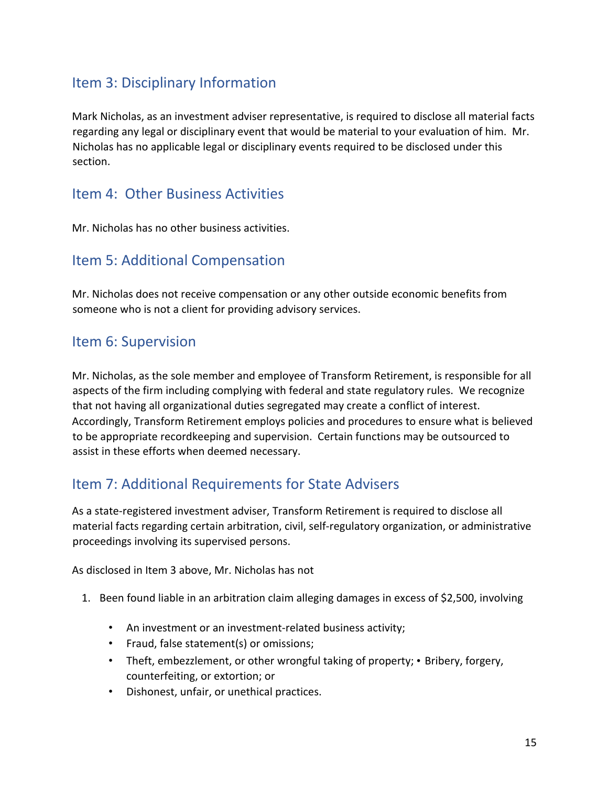## Item 3: Disciplinary Information

Mark Nicholas, as an investment adviser representative, is required to disclose all material facts regarding any legal or disciplinary event that would be material to your evaluation of him. Mr. Nicholas has no applicable legal or disciplinary events required to be disclosed under this section.

### Item 4: Other Business Activities

Mr. Nicholas has no other business activities.

### Item 5: Additional Compensation

Mr. Nicholas does not receive compensation or any other outside economic benefits from someone who is not a client for providing advisory services.

### Item 6: Supervision

Mr. Nicholas, as the sole member and employee of Transform Retirement, is responsible for all aspects of the firm including complying with federal and state regulatory rules. We recognize that not having all organizational duties segregated may create a conflict of interest. Accordingly, Transform Retirement employs policies and procedures to ensure what is believed to be appropriate recordkeeping and supervision. Certain functions may be outsourced to assist in these efforts when deemed necessary.

## Item 7: Additional Requirements for State Advisers

As a state-registered investment adviser, Transform Retirement is required to disclose all material facts regarding certain arbitration, civil, self-regulatory organization, or administrative proceedings involving its supervised persons.

As disclosed in Item 3 above, Mr. Nicholas has not

- 1. Been found liable in an arbitration claim alleging damages in excess of \$2,500, involving
	- An investment or an investment-related business activity;
	- Fraud, false statement(s) or omissions;
	- Theft, embezzlement, or other wrongful taking of property; Bribery, forgery, counterfeiting, or extortion; or
	- Dishonest, unfair, or unethical practices.